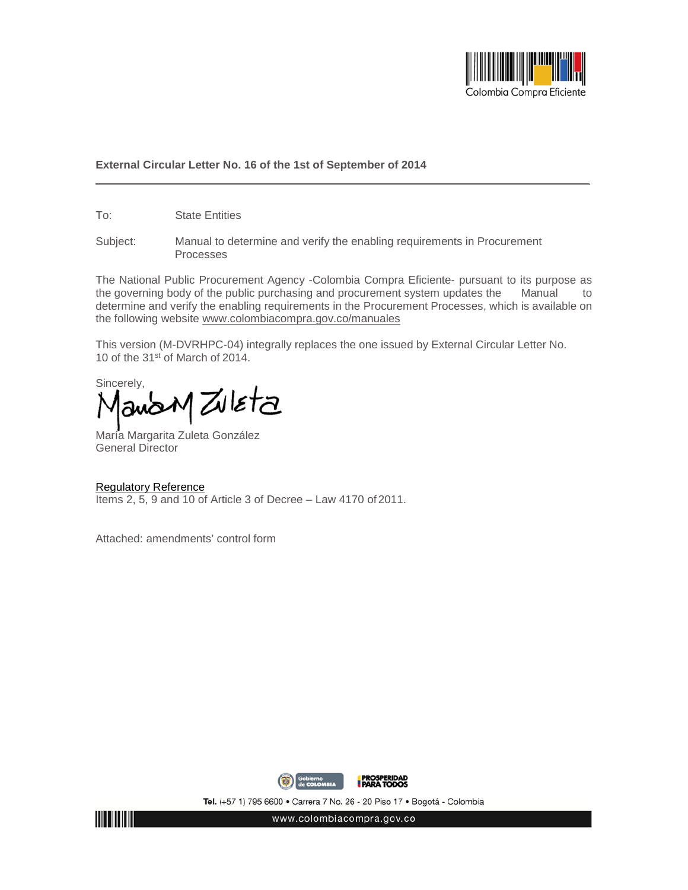

## **External Circular Letter No. 16 of the 1st of September of 2014**

To: State Entities

Subject: Manual to determine and verify the enabling requirements in Procurement Processes

The National Public Procurement Agency -Colombia Compra Eficiente- pursuant to its purpose as the governing body of the public purchasing and procurement system updates the Manual to determine and verify the enabling requirements in the Procurement Processes, which is available on the following website [www.colombiacompra.gov.co/manuales](http://www.colombiacompra.gov.co/manuales)

This version (M-DVRHPC-04) integrally replaces the one issued by External Circular Letter No. 10 of the 31st of March of 2014.

Sincerely,  $\zeta$ leta

María Margarita Zuleta González General Director

## Regulatory Reference

Items 2, 5, 9 and 10 of Article 3 of Decree – Law 4170 of 2011.

Attached: amendments' control form



Tel. (+57 1) 795 6600 · Carrera 7 No. 26 - 20 Piso 17 · Bogotá - Colombia



www.colombiacompra.gov.co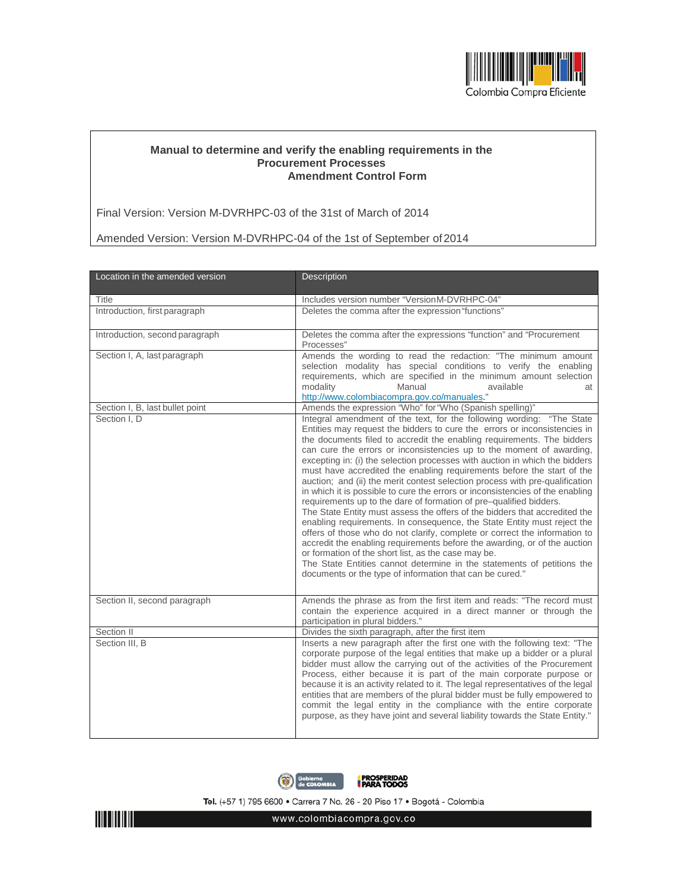

## **Manual to determine and verify the enabling requirements in the Procurement Processes Amendment Control Form**

Final Version: Version M-DVRHPC-03 of the 31st of March of 2014

Amended Version: Version M-DVRHPC-04 of the 1st of September of2014

| Location in the amended version | <b>Description</b>                                                                                                                                                                                                                                                                                                                                                                                                                                                                                                                                                                                                                                                                                                                                                                                                                                                                                                                                                                                                                                                                                                                                                                                                    |
|---------------------------------|-----------------------------------------------------------------------------------------------------------------------------------------------------------------------------------------------------------------------------------------------------------------------------------------------------------------------------------------------------------------------------------------------------------------------------------------------------------------------------------------------------------------------------------------------------------------------------------------------------------------------------------------------------------------------------------------------------------------------------------------------------------------------------------------------------------------------------------------------------------------------------------------------------------------------------------------------------------------------------------------------------------------------------------------------------------------------------------------------------------------------------------------------------------------------------------------------------------------------|
| <b>Title</b>                    | Includes version number "VersionM-DVRHPC-04"                                                                                                                                                                                                                                                                                                                                                                                                                                                                                                                                                                                                                                                                                                                                                                                                                                                                                                                                                                                                                                                                                                                                                                          |
| Introduction, first paragraph   | Deletes the comma after the expression "functions"                                                                                                                                                                                                                                                                                                                                                                                                                                                                                                                                                                                                                                                                                                                                                                                                                                                                                                                                                                                                                                                                                                                                                                    |
| Introduction, second paragraph  | Deletes the comma after the expressions "function" and "Procurement<br>Processes"                                                                                                                                                                                                                                                                                                                                                                                                                                                                                                                                                                                                                                                                                                                                                                                                                                                                                                                                                                                                                                                                                                                                     |
| Section I, A, last paragraph    | Amends the wording to read the redaction: "The minimum amount<br>selection modality has special conditions to verify the enabling<br>requirements, which are specified in the minimum amount selection<br>modality<br>Manual<br>available<br>at<br>http://www.colombiacompra.gov.co/manuales."                                                                                                                                                                                                                                                                                                                                                                                                                                                                                                                                                                                                                                                                                                                                                                                                                                                                                                                        |
| Section I, B, last bullet point | Amends the expression "Who" for "Who (Spanish spelling)"                                                                                                                                                                                                                                                                                                                                                                                                                                                                                                                                                                                                                                                                                                                                                                                                                                                                                                                                                                                                                                                                                                                                                              |
| Section I, D                    | Integral amendment of the text, for the following wording: "The State<br>Entities may request the bidders to cure the errors or inconsistencies in<br>the documents filed to accredit the enabling requirements. The bidders<br>can cure the errors or inconsistencies up to the moment of awarding,<br>excepting in: (i) the selection processes with auction in which the bidders<br>must have accredited the enabling requirements before the start of the<br>auction; and (ii) the merit contest selection process with pre-qualification<br>in which it is possible to cure the errors or inconsistencies of the enabling<br>requirements up to the dare of formation of pre-qualified bidders.<br>The State Entity must assess the offers of the bidders that accredited the<br>enabling requirements. In consequence, the State Entity must reject the<br>offers of those who do not clarify, complete or correct the information to<br>accredit the enabling requirements before the awarding, or of the auction<br>or formation of the short list, as the case may be.<br>The State Entities cannot determine in the statements of petitions the<br>documents or the type of information that can be cured." |
| Section II, second paragraph    | Amends the phrase as from the first item and reads: "The record must<br>contain the experience acquired in a direct manner or through the<br>participation in plural bidders."                                                                                                                                                                                                                                                                                                                                                                                                                                                                                                                                                                                                                                                                                                                                                                                                                                                                                                                                                                                                                                        |
| Section II                      | Divides the sixth paragraph, after the first item                                                                                                                                                                                                                                                                                                                                                                                                                                                                                                                                                                                                                                                                                                                                                                                                                                                                                                                                                                                                                                                                                                                                                                     |
| Section III, B                  | Inserts a new paragraph after the first one with the following text: "The<br>corporate purpose of the legal entities that make up a bidder or a plural<br>bidder must allow the carrying out of the activities of the Procurement<br>Process, either because it is part of the main corporate purpose or<br>because it is an activity related to it. The legal representatives of the legal<br>entities that are members of the plural bidder must be fully empowered to<br>commit the legal entity in the compliance with the entire corporate<br>purpose, as they have joint and several liability towards the State Entity."                                                                                                                                                                                                                                                                                                                                                                                                                                                                                                                                                                                       |



Tel. (+57 1) 795 6600 · Carrera 7 No. 26 - 20 Piso 17 · Bogotá - Colombia



www.colombiacompra.gov.co